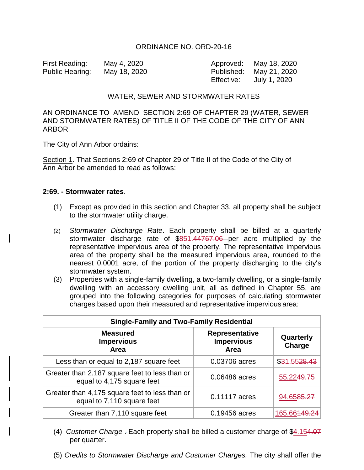## ORDINANCE NO. ORD-20-16

First Reading: May 4, 2020 Approved: May 18, 2020 Public Hearing: May 18, 2020 Published: May 21, 2020

Effective: July 1, 2020

## WATER, SEWER AND STORMWATER RATES

# AN ORDINANCE TO AMEND SECTION 2:69 OF CHAPTER 29 (WATER, SEWER AND STORMWATER RATES) OF TITLE II OF THE CODE OF THE CITY OF ANN ARBOR

The City of Ann Arbor ordains:

Section 1. That Sections 2:69 of Chapter 29 of Title II of the Code of the City of Ann Arbor be amended to read as follows:

#### **2:69. - Stormwater rates**.

- (1) Except as provided in this section and Chapter 33, all property shall be subject to the stormwater utility charge.
- (2) *Stormwater Discharge Rate*. Each property shall be billed at a quarterly stormwater discharge rate of \$851.44767.06 per acre multiplied by the representative impervious area of the property. The representative impervious area of the property shall be the measured impervious area, rounded to the nearest 0.0001 acre, of the portion of the property discharging to the city's stormwater system.
- (3) Properties with a single-family dwelling, a two-family dwelling, or a single-family dwelling with an accessory dwelling unit, all as defined in Chapter 55, are grouped into the following categories for purposes of calculating stormwater charges based upon their measured and representative impervious area:

| <b>Single-Family and Two-Family Residential</b>                              |                                                    |                        |  |
|------------------------------------------------------------------------------|----------------------------------------------------|------------------------|--|
| <b>Measured</b><br><b>Impervious</b><br><b>Area</b>                          | <b>Representative</b><br><b>Impervious</b><br>Area | Quarterly<br>Charge    |  |
| Less than or equal to 2,187 square feet                                      | 0.03706 acres                                      | \$31.5528.43           |  |
| Greater than 2,187 square feet to less than or<br>equal to 4,175 square feet | 0.06486 acres                                      | 55.224 <del>9.75</del> |  |
| Greater than 4,175 square feet to less than or<br>equal to 7,110 square feet | 0.11117 acres                                      | 94.6585.27             |  |
| Greater than 7,110 square feet                                               | 0.19456 acres                                      | 165.66                 |  |

- (4) *Customer Charge* . Each property shall be billed a customer charge of \$4.154.07 per quarter.
- (5) *Credits to Stormwater Discharge and Customer Charges.* The city shall offer the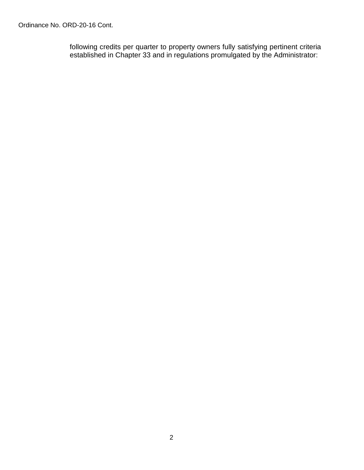Ordinance No. ORD-20-16 Cont.

following credits per quarter to property owners fully satisfying pertinent criteria established in Chapter 33 and in regulations promulgated by the Administrator: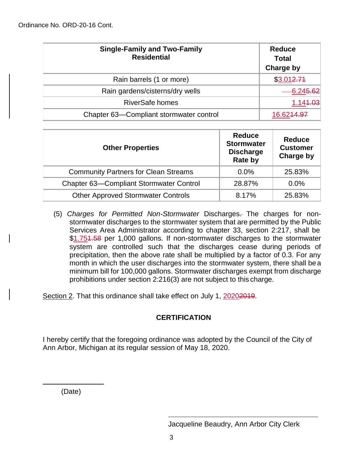| <b>Single-Family and Two-Family</b><br><b>Residential</b> | <b>Reduce</b><br><b>Total</b><br>Charge by |
|-----------------------------------------------------------|--------------------------------------------|
| Rain barrels (1 or more)                                  | \$3.012.74                                 |
| Rain gardens/cisterns/dry wells                           | -6.24 <del>5.62</del>                      |
| <b>RiverSafe homes</b>                                    | 1.144.03                                   |
| Chapter 63-Compliant stormwater control                   |                                            |

| <b>Other Properties</b>                     | <b>Reduce</b><br><b>Stormwater</b><br><b>Discharge</b><br>Rate by | <b>Reduce</b><br><b>Customer</b><br><b>Charge by</b> |
|---------------------------------------------|-------------------------------------------------------------------|------------------------------------------------------|
| <b>Community Partners for Clean Streams</b> | 0.0%                                                              | 25.83%                                               |
| Chapter 63-Compliant Stormwater Control     | 28.87%                                                            | 0.0%                                                 |
| <b>Other Approved Stormwater Controls</b>   | 8.17%                                                             | 25.83%                                               |

(5) *Charges for Permitted Non-Stormwater* Discharges. The charges for nonstormwater discharges to the stormwater system that are permitted by the Public Services Area Administrator according to chapter 33, section 2:217, shall be \$1.754.58 per 1,000 gallons. If non-stormwater discharges to the stormwater system are controlled such that the discharges cease during periods of precipitation, then the above rate shall be multiplied by a factor of 0.3. For any month in which the user discharges into the stormwater system, there shall be a minimum bill for 100,000 gallons. Stormwater discharges exempt from discharge prohibitions under section 2:216(3) are not subject to this charge.

Section 2. That this ordinance shall take effect on July 1, 2020<del>2019</del>.

# **CERTIFICATION**

I hereby certify that the foregoing ordinance was adopted by the Council of the City of Ann Arbor, Michigan at its regular session of May 18, 2020.

(Date)